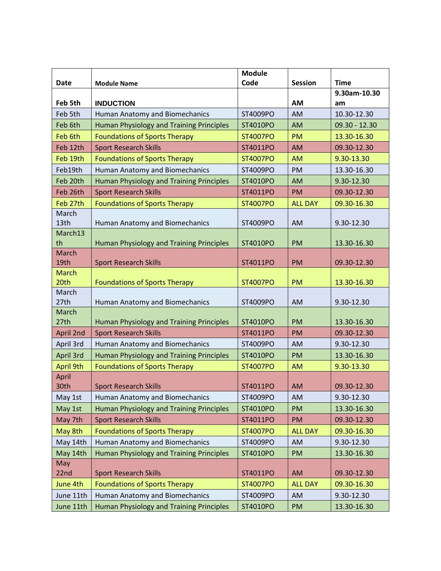|                      |                                                 | <b>Module</b>   |                |               |
|----------------------|-------------------------------------------------|-----------------|----------------|---------------|
| Date                 | <b>Module Name</b>                              | Code            | <b>Session</b> | <b>Time</b>   |
|                      |                                                 |                 |                | 9.30am-10.30  |
| Feb 5th              | <b>INDUCTION</b>                                |                 | <b>AM</b>      | am            |
| Feb 5th              | Human Anatomy and Biomechanics                  | ST4009PO        | AM             | 10.30-12.30   |
| Feb 6th              | Human Physiology and Training Principles        | ST4010PO        | AM             | 09.30 - 12.30 |
| Feb 6th              | <b>Foundations of Sports Therapy</b>            | ST4007PO        | <b>PM</b>      | 13.30-16.30   |
| Feb 12th             | <b>Sport Research Skills</b>                    | ST4011PO        | <b>AM</b>      | 09.30-12.30   |
| Feb 19th             | <b>Foundations of Sports Therapy</b>            | ST4007PO        | <b>AM</b>      | 9.30-13.30    |
| Feb19th              | Human Anatomy and Biomechanics                  | ST4009PO        | PM             | 13.30-16.30   |
| Feb 20th             | <b>Human Physiology and Training Principles</b> | ST4010PO        | <b>AM</b>      | 9.30-12.30    |
| Feb 26th             | <b>Sport Research Skills</b>                    | ST4011PO        | <b>PM</b>      | 09.30-12.30   |
| Feb 27th             | <b>Foundations of Sports Therapy</b>            | ST4007PO        | <b>ALL DAY</b> | 09.30-16.30   |
| March<br>13th        | Human Anatomy and Biomechanics                  | ST4009PO        | AM             | 9.30-12.30    |
| March13<br>th        | Human Physiology and Training Principles        | ST4010PO        | PM             | 13.30-16.30   |
| <b>March</b><br>19th |                                                 |                 | <b>PM</b>      | 09.30-12.30   |
| <b>March</b>         | <b>Sport Research Skills</b>                    | ST4011PO        |                |               |
| 20th                 | <b>Foundations of Sports Therapy</b>            | ST4007PO        | <b>PM</b>      | 13.30-16.30   |
| March                |                                                 |                 |                |               |
| 27th                 | Human Anatomy and Biomechanics                  | ST4009PO        | AM             | 9.30-12.30    |
| March                |                                                 |                 |                |               |
| 27th                 | <b>Human Physiology and Training Principles</b> | ST4010PO        | PM             | 13.30-16.30   |
| April 2nd            | <b>Sport Research Skills</b>                    | ST4011PO        | PM             | 09.30-12.30   |
| April 3rd            | Human Anatomy and Biomechanics                  | ST4009PO        | AM             | 9.30-12.30    |
| April 3rd            | <b>Human Physiology and Training Principles</b> | ST4010PO        | PM             | 13.30-16.30   |
| April 9th            | <b>Foundations of Sports Therapy</b>            | ST4007PO        | <b>AM</b>      | 9.30-13.30    |
| April                |                                                 |                 |                |               |
| 30th                 | <b>Sport Research Skills</b>                    | ST4011PO        | <b>AM</b>      | 09.30-12.30   |
| May 1st              | Human Anatomy and Biomechanics                  | ST4009PO        | AM             | 9.30-12.30    |
| May 1st              | <b>Human Physiology and Training Principles</b> | ST4010PO        | PM             | 13.30-16.30   |
| May 7th              | <b>Sport Research Skills</b>                    | ST4011PO        | <b>PM</b>      | 09.30-12.30   |
| May 8th              | <b>Foundations of Sports Therapy</b>            | ST4007PO        | <b>ALL DAY</b> | 09.30-16.30   |
| May 14th             | Human Anatomy and Biomechanics                  | ST4009PO        | AM             | 9.30-12.30    |
| May 14th             | <b>Human Physiology and Training Principles</b> | ST4010PO        | <b>PM</b>      | 13.30-16.30   |
| May<br>22nd          | <b>Sport Research Skills</b>                    | ST4011PO        | <b>AM</b>      | 09.30-12.30   |
| June 4th             | <b>Foundations of Sports Therapy</b>            | <b>ST4007PO</b> | <b>ALL DAY</b> | 09.30-16.30   |
| June 11th            | Human Anatomy and Biomechanics                  | ST4009PO        | AM             | 9.30-12.30    |
| June 11th            | Human Physiology and Training Principles        | ST4010PO        | PM             | 13.30-16.30   |